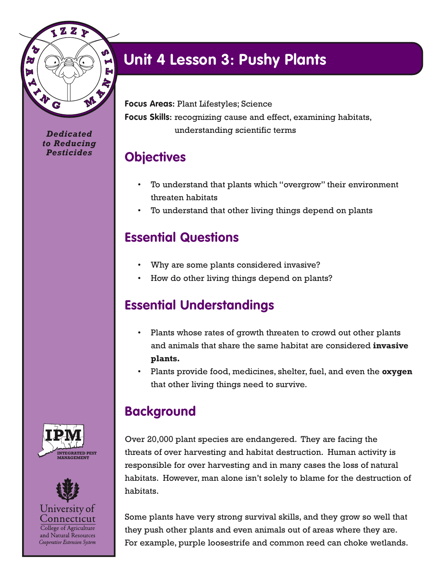

*Dedicated to Reducing Pesticides*

## **Unit 4 Lesson 3: Pushy Plants**

**Focus Areas:** Plant Lifestyles; Science **Focus Skills:** recognizing cause and effect, examining habitats, understanding scientific terms

#### **Objectives**

- To understand that plants which "overgrow" their environment threaten habitats
- To understand that other living things depend on plants

### **Essential Questions**

- Why are some plants considered invasive?
- How do other living things depend on plants?

#### **Essential Understandings**

- Plants whose rates of growth threaten to crowd out other plants and animals that share the same habitat are considered **invasive plants.**
- Plants provide food, medicines, shelter, fuel, and even the **oxygen** that other living things need to survive.

#### **Background**

Over 20,000 plant species are endangered. They are facing the threats of over harvesting and habitat destruction. Human activity is responsible for over harvesting and in many cases the loss of natural habitats. However, man alone isn't solely to blame for the destruction of habitats.

Some plants have very strong survival skills, and they grow so well that they push other plants and even animals out of areas where they are. For example, purple loosestrife and common reed can choke wetlands.





College of Agriculture and Natural Resources Cooperative Extension System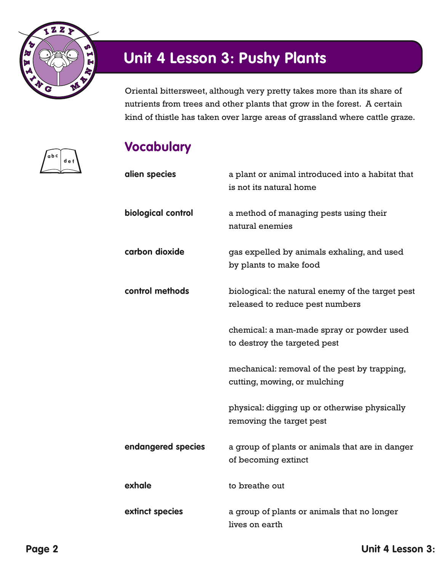

**a b c**

**d e f**

# **Unit 4 Lesson 3: Pushy Plants**

Oriental bittersweet, although very pretty takes more than its share of nutrients from trees and other plants that grow in the forest. A certain kind of thistle has taken over large areas of grassland where cattle graze.

### **Vocabulary**

| alien species      | a plant or animal introduced into a habitat that<br>is not its natural home         |
|--------------------|-------------------------------------------------------------------------------------|
| biological control | a method of managing pests using their<br>natural enemies                           |
| carbon dioxide     | gas expelled by animals exhaling, and used<br>by plants to make food                |
| control methods    | biological: the natural enemy of the target pest<br>released to reduce pest numbers |
|                    | chemical: a man-made spray or powder used<br>to destroy the targeted pest           |
|                    | mechanical: removal of the pest by trapping,<br>cutting, mowing, or mulching        |
|                    | physical: digging up or otherwise physically<br>removing the target pest            |
| endangered species | a group of plants or animals that are in danger<br>of becoming extinct              |
| exhale             | to breathe out                                                                      |
| extinct species    | a group of plants or animals that no longer<br>lives on earth                       |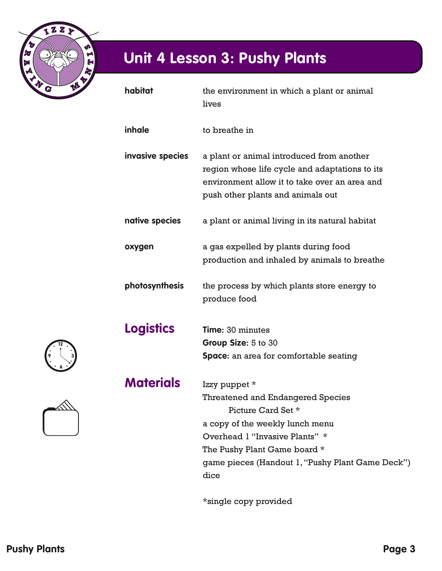

| habitat          | the environment in which a plant or animal<br>lives                                                                                                                                                                                       |
|------------------|-------------------------------------------------------------------------------------------------------------------------------------------------------------------------------------------------------------------------------------------|
| inhale           | to breathe in                                                                                                                                                                                                                             |
| invasive species | a plant or animal introduced from another<br>region whose life cycle and adaptations to its<br>environment allow it to take over an area and<br>push other plants and animals out                                                         |
| native species   | a plant or animal living in its natural habitat                                                                                                                                                                                           |
| oxygen           | a gas expelled by plants during food<br>production and inhaled by animals to breathe                                                                                                                                                      |
| photosynthesis   | the process by which plants store energy to<br>produce food                                                                                                                                                                               |
| <b>Logistics</b> | <b>Time: 30 minutes</b><br>Group Size: 5 to 30<br><b>Space:</b> an area for comfortable seating                                                                                                                                           |
| <b>Materials</b> | Izzy puppet *<br>Threatened and Endangered Species<br>Picture Card Set *<br>a copy of the weekly lunch menu<br>Overhead 1 "Invasive Plants" *<br>The Pushy Plant Game board *<br>game pieces (Handout 1, "Pushy Plant Game Deck")<br>dice |

\*single copy provided

**12**

**9**

**6**

**3**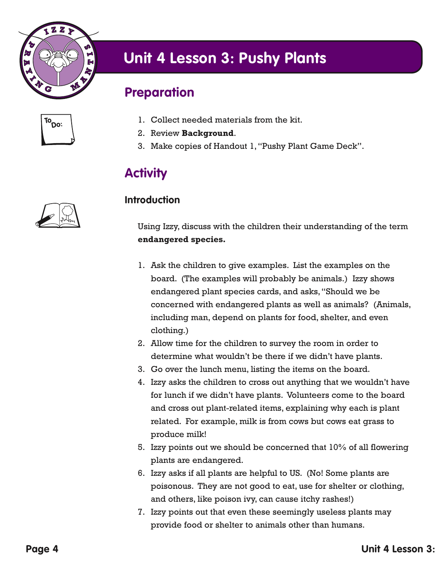

#### **Preparation**

| īΟ<br>סכ: |  |
|-----------|--|
|           |  |

- 1. Collect needed materials from the kit.
- 2. Review **Background**.
- 3. Make copies of Handout 1, "Pushy Plant Game Deck".

#### **Activity**

#### **Introduction**

Using Izzy, discuss with the children their understanding of the term **endangered species.**

- 1. Ask the children to give examples. List the examples on the board. (The examples will probably be animals.) Izzy shows endangered plant species cards, and asks, "Should we be concerned with endangered plants as well as animals? (Animals, including man, depend on plants for food, shelter, and even clothing.)
- 2. Allow time for the children to survey the room in order to determine what wouldn't be there if we didn't have plants.
- 3. Go over the lunch menu, listing the items on the board.
- 4. Izzy asks the children to cross out anything that we wouldn't have for lunch if we didn't have plants. Volunteers come to the board and cross out plant-related items, explaining why each is plant related. For example, milk is from cows but cows eat grass to produce milk!
- 5. Izzy points out we should be concerned that 10% of all flowering plants are endangered.
- 6. Izzy asks if all plants are helpful to US. (No! Some plants are poisonous. They are not good to eat, use for shelter or clothing, and others, like poison ivy, can cause itchy rashes!)
- 7. Izzy points out that even these seemingly useless plants may provide food or shelter to animals other than humans.

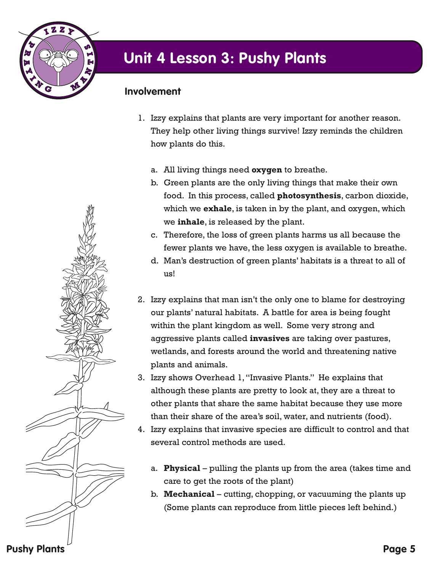

#### **Involvement**

- 1. Izzy explains that plants are very important for another reason. They help other living things survive! Izzy reminds the children how plants do this.
	- a. All living things need **oxygen** to breathe.
	- b. Green plants are the only living things that make their own food. In this process, called **photosynthesis**, carbon dioxide, which we **exhale**, is taken in by the plant, and oxygen, which we **inhale**, is released by the plant.
	- c. Therefore, the loss of green plants harms us all because the fewer plants we have, the less oxygen is available to breathe.
	- d. Man's destruction of green plants' habitats is a threat to all of us!
- 2. Izzy explains that man isn't the only one to blame for destroying our plants' natural habitats. A battle for area is being fought within the plant kingdom as well. Some very strong and aggressive plants called **invasives** are taking over pastures, wetlands, and forests around the world and threatening native plants and animals.
- 3. Izzy shows Overhead 1, "Invasive Plants." He explains that although these plants are pretty to look at, they are a threat to other plants that share the same habitat because they use more than their share of the area's soil, water, and nutrients (food).
- 4. Izzy explains that invasive species are difficult to control and that several control methods are used.
	- a. **Physical**  pulling the plants up from the area (takes time and care to get the roots of the plant)
	- b. **Mechanical**  cutting, chopping, or vacuuming the plants up (Some plants can reproduce from little pieces left behind.)

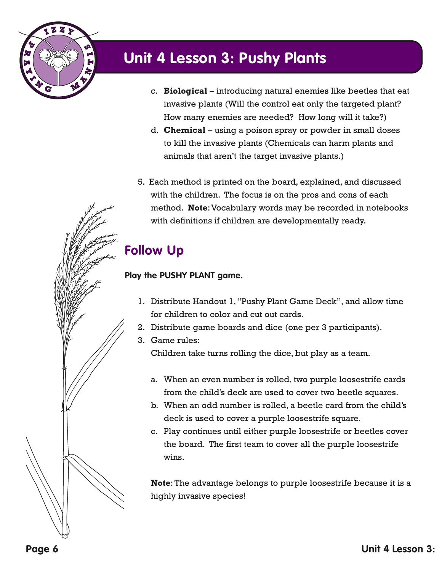

- c. **Biological**  introducing natural enemies like beetles that eat invasive plants (Will the control eat only the targeted plant? How many enemies are needed? How long will it take?)
- d. **Chemical**  using a poison spray or powder in small doses to kill the invasive plants (Chemicals can harm plants and animals that aren't the target invasive plants.)
- 5. Each method is printed on the board, explained, and discussed with the children. The focus is on the pros and cons of each method. **Note**: Vocabulary words may be recorded in notebooks with definitions if children are developmentally ready.

### **Follow Up**

#### **Play the PUSHY PLANT game.**

- 1. Distribute Handout 1, "Pushy Plant Game Deck", and allow time for children to color and cut out cards.
- 2. Distribute game boards and dice (one per 3 participants).
- 3. Game rules:

Children take turns rolling the dice, but play as a team.

- a. When an even number is rolled, two purple loosestrife cards from the child's deck are used to cover two beetle squares.
- b. When an odd number is rolled, a beetle card from the child's deck is used to cover a purple loosestrife square.
- c. Play continues until either purple loosestrife or beetles cover the board. The first team to cover all the purple loosestrife wins.

**Note**: The advantage belongs to purple loosestrife because it is a highly invasive species!

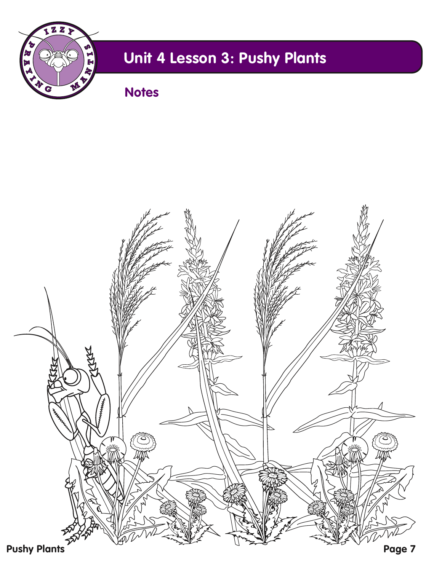

**Notes**